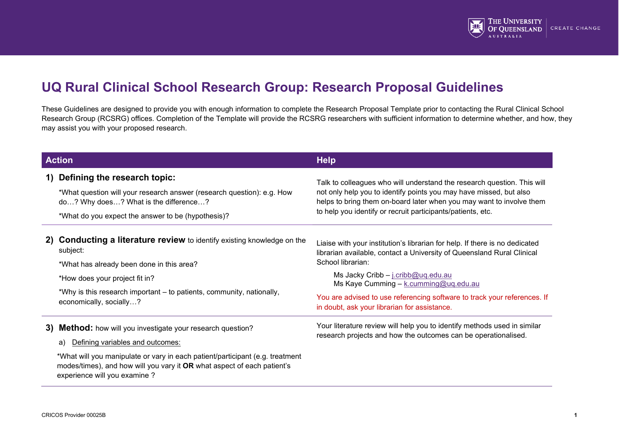

# **UQ Rural Clinical School Research Group: Research Proposal Guidelines**

These Guidelines are designed to provide you with enough information to complete the Research Proposal Template prior to contacting the Rural Clinical School Research Group (RCSRG) offices. Completion of the Template will provide the RCSRG researchers with sufficient information to determine whether, and how, they may assist you with your proposed research.

| <b>Action</b> |                                                                                                                                                                                                                                                                                                       | <b>Help</b>                                                                                                                                                                                                                                                                                                                                                                           |
|---------------|-------------------------------------------------------------------------------------------------------------------------------------------------------------------------------------------------------------------------------------------------------------------------------------------------------|---------------------------------------------------------------------------------------------------------------------------------------------------------------------------------------------------------------------------------------------------------------------------------------------------------------------------------------------------------------------------------------|
| 1)            | Defining the research topic:<br>*What question will your research answer (research question): e.g. How<br>do? Why does? What is the difference?<br>*What do you expect the answer to be (hypothesis)?                                                                                                 | Talk to colleagues who will understand the research question. This will<br>not only help you to identify points you may have missed, but also<br>helps to bring them on-board later when you may want to involve them<br>to help you identify or recruit participants/patients, etc.                                                                                                  |
| 2)            | <b>Conducting a literature review</b> to identify existing knowledge on the<br>subject:<br>*What has already been done in this area?<br>*How does your project fit in?<br>*Why is this research important – to patients, community, nationally,<br>economically, socially?                            | Liaise with your institution's librarian for help. If there is no dedicated<br>librarian available, contact a University of Queensland Rural Clinical<br>School librarian:<br>Ms Jacky Cribb - j.cribb@uq.edu.au<br>Ms Kaye Cumming - k.cumming@uq.edu.au<br>You are advised to use referencing software to track your references. If<br>in doubt, ask your librarian for assistance. |
| 3)            | <b>Method:</b> how will you investigate your research question?<br>Defining variables and outcomes:<br>a)<br>*What will you manipulate or vary in each patient/participant (e.g. treatment<br>modes/times), and how will you vary it OR what aspect of each patient's<br>experience will you examine? | Your literature review will help you to identify methods used in similar<br>research projects and how the outcomes can be operationalised.                                                                                                                                                                                                                                            |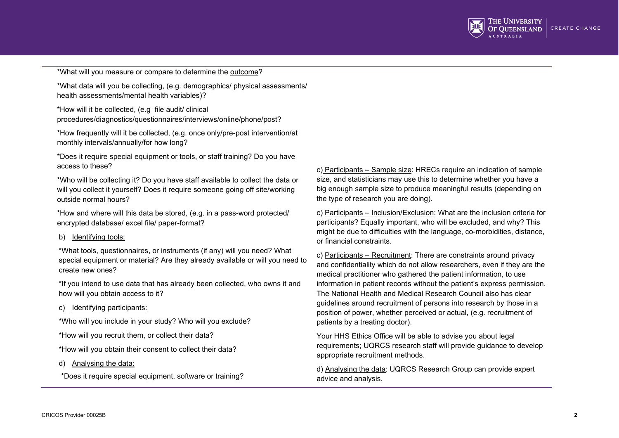

\*What will you measure or compare to determine the outcome?

\*What data will you be collecting, (e.g. demographics/ physical assessments/ health assessments/mental health variables)?

\*How will it be collected, (e.g file audit/ clinical procedures/diagnostics/questionnaires/interviews/online/phone/post?

\*How frequently will it be collected, (e.g. once only/pre-post intervention/at monthly intervals/annually/for how long?

\*Does it require special equipment or tools, or staff training? Do you have access to these?

\*Who will be collecting it? Do you have staff available to collect the data or will you collect it yourself? Does it require someone going off site/working outside normal hours?

\*How and where will this data be stored, (e.g. in a pass-word protected/ encrypted database/ excel file/ paper-format?

#### b) Identifying tools:

\*What tools, questionnaires, or instruments (if any) will you need? What special equipment or material? Are they already available or will you need to create new ones?

\*If you intend to use data that has already been collected, who owns it and how will you obtain access to it?

#### c) Identifying participants:

\*Who will you include in your study? Who will you exclude?

\*How will you recruit them, or collect their data?

\*How will you obtain their consent to collect their data?

d) Analysing the data:

\*Does it require special equipment, software or training?

c) Participants – Sample size: HRECs require an indication of sample size, and statisticians may use this to determine whether you have a big enough sample size to produce meaningful results (depending on the type of research you are doing).

c) Participants – Inclusion/Exclusion: What are the inclusion criteria for participants? Equally important, who will be excluded, and why? This might be due to difficulties with the language, co-morbidities, distance, or financial constraints.

c) Participants – Recruitment: There are constraints around privacy and confidentiality which do not allow researchers, even if they are the medical practitioner who gathered the patient information, to use information in patient records without the patient's express permission. The National Health and Medical Research Council also has clear guidelines around recruitment of persons into research by those in a position of power, whether perceived or actual, (e.g. recruitment of patients by a treating doctor).

Your HHS Ethics Office will be able to advise you about legal requirements; UQRCS research staff will provide guidance to develop appropriate recruitment methods.

d) Analysing the data: UQRCS Research Group can provide expert advice and analysis.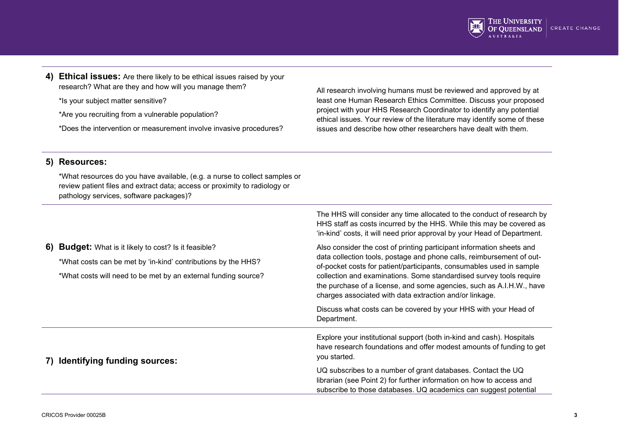

**4) Ethical issues:** Are there likely to be ethical issues raised by your research? What are they and how will you manage them?

\*Is your subject matter sensitive?

\*Are you recruiting from a vulnerable population?

\*Does the intervention or measurement involve invasive procedures?

All research involving humans must be reviewed and approved by at least one Human Research Ethics Committee. Discuss your proposed project with your HHS Research Coordinator to identify any potential ethical issues. Your review of the literature may identify some of these issues and describe how other researchers have dealt with them.

### **5) Resources:**

\*What resources do you have available, (e.g. a nurse to collect samples or review patient files and extract data; access or proximity to radiology or pathology services, software packages)?

|                                                                                                                                                                                          | The HHS will consider any time allocated to the conduct of research by<br>HHS staff as costs incurred by the HHS. While this may be covered as<br>'in-kind' costs, it will need prior approval by your Head of Department.                                                                                                                                                                                                       |
|------------------------------------------------------------------------------------------------------------------------------------------------------------------------------------------|----------------------------------------------------------------------------------------------------------------------------------------------------------------------------------------------------------------------------------------------------------------------------------------------------------------------------------------------------------------------------------------------------------------------------------|
| 6) Budget: What is it likely to cost? Is it feasible?<br>*What costs can be met by 'in-kind' contributions by the HHS?<br>*What costs will need to be met by an external funding source? | Also consider the cost of printing participant information sheets and<br>data collection tools, postage and phone calls, reimbursement of out-<br>of-pocket costs for patient/participants, consumables used in sample<br>collection and examinations. Some standardised survey tools require<br>the purchase of a license, and some agencies, such as A.I.H.W., have<br>charges associated with data extraction and/or linkage. |
|                                                                                                                                                                                          | Discuss what costs can be covered by your HHS with your Head of<br>Department.                                                                                                                                                                                                                                                                                                                                                   |
| 7) Identifying funding sources:                                                                                                                                                          | Explore your institutional support (both in-kind and cash). Hospitals<br>have research foundations and offer modest amounts of funding to get<br>you started.                                                                                                                                                                                                                                                                    |
|                                                                                                                                                                                          | UQ subscribes to a number of grant databases. Contact the UQ<br>librarian (see Point 2) for further information on how to access and<br>subscribe to those databases. UQ academics can suggest potential                                                                                                                                                                                                                         |